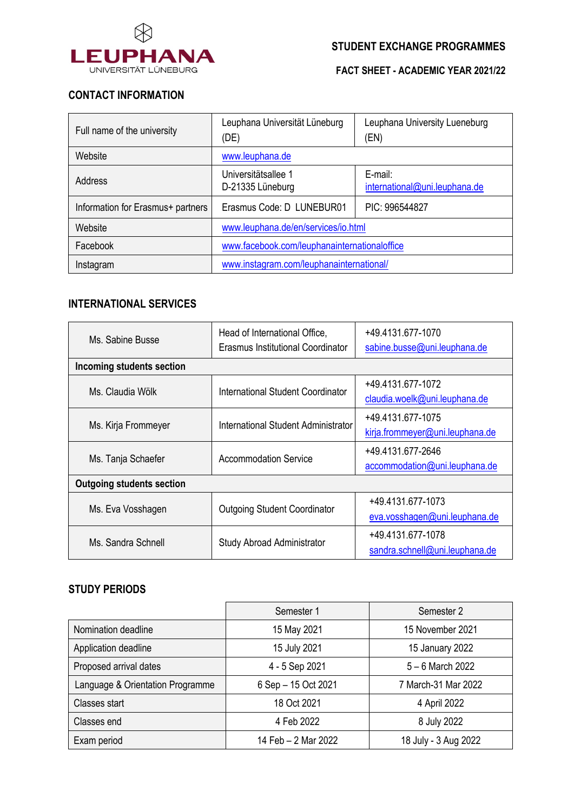

**FACT SHEET - ACADEMIC YEAR 2021/22**

# **CONTACT INFORMATION**

| Full name of the university       | Leuphana Universität Lüneburg<br>(DE)        | Leuphana University Lueneburg<br>(EN)    |
|-----------------------------------|----------------------------------------------|------------------------------------------|
| Website                           | www.leuphana.de                              |                                          |
| Address                           | Universitätsallee 1<br>D-21335 Lüneburg      | E-mail:<br>international@uni.leuphana.de |
| Information for Erasmus+ partners | Erasmus Code: D LUNEBUR01                    | PIC: 996544827                           |
| Website                           | www.leuphana.de/en/services/io.html          |                                          |
| Facebook                          | www.facebook.com/leuphanainternationaloffice |                                          |
| Instagram                         | www.instagram.com/leuphanainternational/     |                                          |

# **INTERNATIONAL SERVICES**

| Ms. Sabine Busse                 | Head of International Office,<br>Erasmus Institutional Coordinator | +49.4131.677-1070<br>sabine.busse@uni.leuphana.de    |  |  |
|----------------------------------|--------------------------------------------------------------------|------------------------------------------------------|--|--|
| <b>Incoming students section</b> |                                                                    |                                                      |  |  |
| Ms. Claudia Wölk                 | International Student Coordinator                                  | +49.4131.677-1072<br>claudia.woelk@uni.leuphana.de   |  |  |
| Ms. Kirja Frommeyer              | International Student Administrator                                | +49.4131.677-1075<br>kirja.frommeyer@uni.leuphana.de |  |  |
| Ms. Tanja Schaefer               | Accommodation Service                                              | +49.4131.677-2646<br>accommodation@uni.leuphana.de   |  |  |
| <b>Outgoing students section</b> |                                                                    |                                                      |  |  |
| Ms. Eva Vosshagen                | <b>Outgoing Student Coordinator</b>                                | +49.4131.677-1073<br>eva.vosshagen@uni.leuphana.de   |  |  |
| Ms. Sandra Schnell               | Study Abroad Administrator                                         | +49.4131.677-1078<br>sandra.schnell@uni.leuphana.de  |  |  |

## **STUDY PERIODS**

|                                  | Semester 1          | Semester 2           |
|----------------------------------|---------------------|----------------------|
| Nomination deadline              | 15 May 2021         | 15 November 2021     |
| Application deadline             | 15 July 2021        | 15 January 2022      |
| Proposed arrival dates           | 4 - 5 Sep 2021      | $5 - 6$ March 2022   |
| Language & Orientation Programme | 6 Sep - 15 Oct 2021 | 7 March-31 Mar 2022  |
| Classes start                    | 18 Oct 2021         | 4 April 2022         |
| Classes end                      | 4 Feb 2022          | 8 July 2022          |
| Exam period                      | 14 Feb - 2 Mar 2022 | 18 July - 3 Aug 2022 |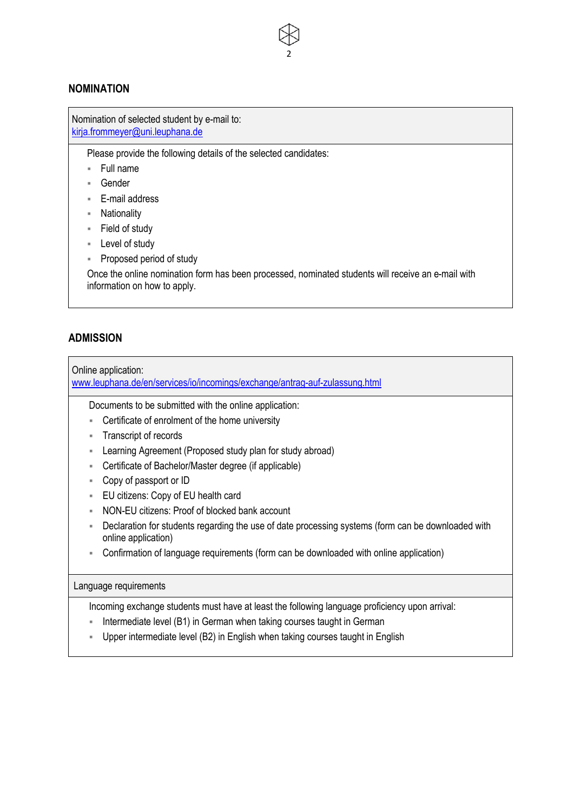## **NOMINATION**

Nomination of selected student by e-mail to: kirja.frommeyer@uni.leuphana.de

Please provide the following details of the selected candidates:

- § Full name
- § Gender
- E-mail address
- § Nationality
- § Field of study
- Level of study
- § Proposed period of study

Once the online nomination form has been processed, nominated students will receive an e-mail with information on how to apply.

2

### **ADMISSION**

Online application:

www.leuphana.de/en/services/io/incomings/exchange/antrag-auf-zulassung.html

Documents to be submitted with the online application:

- Certificate of enrolment of the home university
- § Transcript of records
- Learning Agreement (Proposed study plan for study abroad)
- Certificate of Bachelor/Master degree (if applicable)
- § Copy of passport or ID
- EU citizens: Copy of EU health card
- NON-EU citizens: Proof of blocked bank account
- § Declaration for students regarding the use of date processing systems (form can be downloaded with online application)
- Confirmation of language requirements (form can be downloaded with online application)

#### Language requirements

Incoming exchange students must have at least the following language proficiency upon arrival:

- Intermediate level (B1) in German when taking courses taught in German
- § Upper intermediate level (B2) in English when taking courses taught in English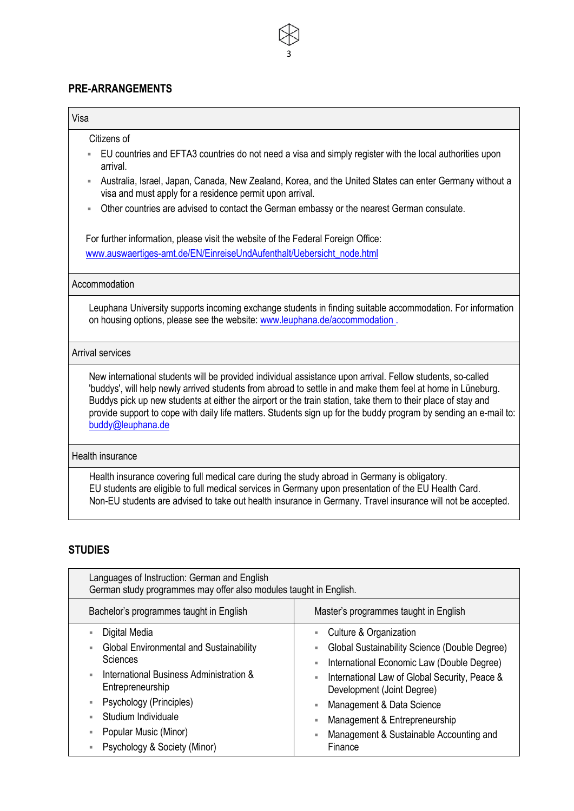# **PRE-ARRANGEMENTS**

| Visa                                                                                                                                                                                                                                                                                                                                                                                                                                                                                                                                                                      |
|---------------------------------------------------------------------------------------------------------------------------------------------------------------------------------------------------------------------------------------------------------------------------------------------------------------------------------------------------------------------------------------------------------------------------------------------------------------------------------------------------------------------------------------------------------------------------|
| Citizens of<br>EU countries and EFTA3 countries do not need a visa and simply register with the local authorities upon<br>arrival.<br>Australia, Israel, Japan, Canada, New Zealand, Korea, and the United States can enter Germany without a<br>×<br>visa and must apply for a residence permit upon arrival.<br>Other countries are advised to contact the German embassy or the nearest German consulate.<br>For further information, please visit the website of the Federal Foreign Office:<br>www.auswaertiges-amt.de/EN/EinreiseUndAufenthalt/Uebersicht_node.html |
| Accommodation<br>Leuphana University supports incoming exchange students in finding suitable accommodation. For information<br>on housing options, please see the website: www.leuphana.de/accommodation.                                                                                                                                                                                                                                                                                                                                                                 |
| <b>Arrival services</b>                                                                                                                                                                                                                                                                                                                                                                                                                                                                                                                                                   |
| New international students will be provided individual assistance upon arrival. Fellow students, so-called<br>'buddys', will help newly arrived students from abroad to settle in and make them feel at home in Lüneburg.<br>Buddys pick up new students at either the airport or the train station, take them to their place of stay and<br>provide support to cope with daily life matters. Students sign up for the buddy program by sending an e-mail to:<br>buddy@leuphana.de                                                                                        |
| Health insurance                                                                                                                                                                                                                                                                                                                                                                                                                                                                                                                                                          |
| Health insurance covering full medical care during the study abroad in Germany is obligatory.<br>EU students are eligible to full medical services in Germany upon presentation of the EU Health Card.<br>Non-EU students are advised to take out health insurance in Germany. Travel insurance will not be accepted.                                                                                                                                                                                                                                                     |

3

# **STUDIES**

| Languages of Instruction: German and English<br>German study programmes may offer also modules taught in English. |                                                                             |  |  |
|-------------------------------------------------------------------------------------------------------------------|-----------------------------------------------------------------------------|--|--|
| Bachelor's programmes taught in English                                                                           | Master's programmes taught in English                                       |  |  |
| Digital Media                                                                                                     | Culture & Organization                                                      |  |  |
| <b>Global Environmental and Sustainability</b><br>н                                                               | Global Sustainability Science (Double Degree)                               |  |  |
| <b>Sciences</b>                                                                                                   | International Economic Law (Double Degree)                                  |  |  |
| International Business Administration &<br>٠<br>Entrepreneurship                                                  | International Law of Global Security, Peace &<br>Development (Joint Degree) |  |  |
| Psychology (Principles)<br>п                                                                                      | Management & Data Science                                                   |  |  |
| Studium Individuale<br>ш                                                                                          | Management & Entrepreneurship                                               |  |  |
| Popular Music (Minor)<br>۵                                                                                        | Management & Sustainable Accounting and                                     |  |  |
| Psychology & Society (Minor)                                                                                      | Finance                                                                     |  |  |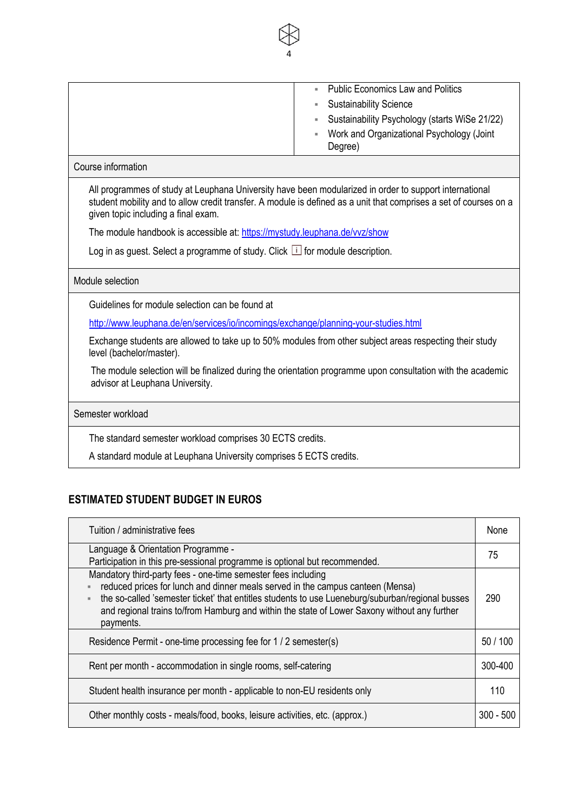| <b>Public Economics Law and Politics</b><br><b>Contract</b> |
|-------------------------------------------------------------|
| <b>Sustainability Science</b>                               |
| • Sustainability Psychology (starts WiSe 21/22)             |
| Work and Organizational Psychology (Joint<br>٠<br>Degree)   |
|                                                             |

4

### Course information

All programmes of study at Leuphana University have been modularized in order to support international student mobility and to allow credit transfer. A module is defined as a unit that comprises a set of courses on a given topic including a final exam.

The module handbook is accessible at: https://mystudy.leuphana.de/vvz/show

Log in as guest. Select a programme of study. Click  $\Box$  for module description.

## Module selection

Guidelines for module selection can be found at

http://www.leuphana.de/en/services/io/incomings/exchange/planning-your-studies.html

Exchange students are allowed to take up to 50% modules from other subject areas respecting their study level (bachelor/master).

The module selection will be finalized during the orientation programme upon consultation with the academic advisor at Leuphana University.

### Semester workload

The standard semester workload comprises 30 ECTS credits.

A standard module at Leuphana University comprises 5 ECTS credits.

# **ESTIMATED STUDENT BUDGET IN EUROS**

| Tuition / administrative fees                                                                                                                                                                                                                                                                                                                                    | None      |
|------------------------------------------------------------------------------------------------------------------------------------------------------------------------------------------------------------------------------------------------------------------------------------------------------------------------------------------------------------------|-----------|
| Language & Orientation Programme -<br>Participation in this pre-sessional programme is optional but recommended.                                                                                                                                                                                                                                                 | 75        |
| Mandatory third-party fees - one-time semester fees including<br>reduced prices for lunch and dinner meals served in the campus canteen (Mensa)<br>the so-called 'semester ticket' that entitles students to use Lueneburg/suburban/regional busses<br>and regional trains to/from Hamburg and within the state of Lower Saxony without any further<br>payments. | 290       |
| Residence Permit - one-time processing fee for 1 / 2 semester(s)                                                                                                                                                                                                                                                                                                 | 50/100    |
| Rent per month - accommodation in single rooms, self-catering                                                                                                                                                                                                                                                                                                    | 300-400   |
| Student health insurance per month - applicable to non-EU residents only                                                                                                                                                                                                                                                                                         | 110       |
| Other monthly costs - meals/food, books, leisure activities, etc. (approx.)                                                                                                                                                                                                                                                                                      | 300 - 500 |